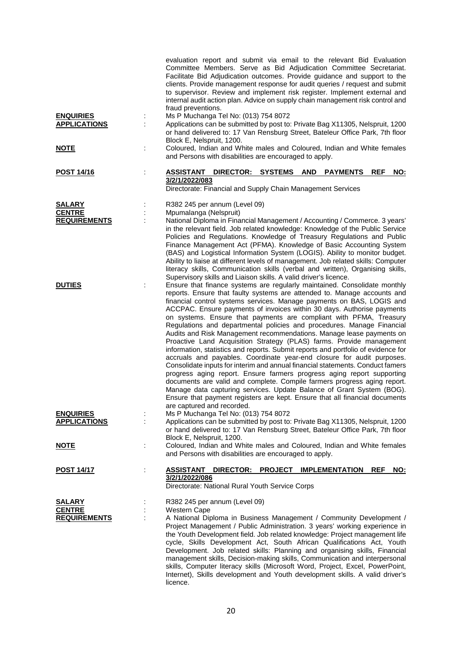|                                                       |   | evaluation report and submit via email to the relevant Bid Evaluation<br>Committee Members. Serve as Bid Adjudication Committee Secretariat.<br>Facilitate Bid Adjudication outcomes. Provide guidance and support to the<br>clients. Provide management response for audit queries / request and submit<br>to supervisor. Review and implement risk register. Implement external and<br>internal audit action plan. Advice on supply chain management risk control and<br>fraud preventions.                                                                                                                                                                                                                                                                                                                                                                                                                                                                                                                                                                                                                                                                                                         |
|-------------------------------------------------------|---|-------------------------------------------------------------------------------------------------------------------------------------------------------------------------------------------------------------------------------------------------------------------------------------------------------------------------------------------------------------------------------------------------------------------------------------------------------------------------------------------------------------------------------------------------------------------------------------------------------------------------------------------------------------------------------------------------------------------------------------------------------------------------------------------------------------------------------------------------------------------------------------------------------------------------------------------------------------------------------------------------------------------------------------------------------------------------------------------------------------------------------------------------------------------------------------------------------|
| <b>ENQUIRIES</b><br><b>APPLICATIONS</b>               |   | Ms P Muchanga Tel No: (013) 754 8072<br>Applications can be submitted by post to: Private Bag X11305, Nelspruit, 1200<br>or hand delivered to: 17 Van Rensburg Street, Bateleur Office Park, 7th floor<br>Block E, Nelspruit, 1200.                                                                                                                                                                                                                                                                                                                                                                                                                                                                                                                                                                                                                                                                                                                                                                                                                                                                                                                                                                   |
| <u>NOTE</u>                                           |   | Coloured, Indian and White males and Coloured, Indian and White females<br>and Persons with disabilities are encouraged to apply.                                                                                                                                                                                                                                                                                                                                                                                                                                                                                                                                                                                                                                                                                                                                                                                                                                                                                                                                                                                                                                                                     |
| <b>POST 14/16</b>                                     | ÷ | <b>ASSISTANT</b><br>DIRECTOR: SYSTEMS AND<br><b>PAYMENTS</b><br><b>REF</b><br><u>NO:</u><br>3/2/1/2022/083<br>Directorate: Financial and Supply Chain Management Services                                                                                                                                                                                                                                                                                                                                                                                                                                                                                                                                                                                                                                                                                                                                                                                                                                                                                                                                                                                                                             |
| <b>SALARY</b><br><b>CENTRE</b><br><b>REQUIREMENTS</b> |   | R382 245 per annum (Level 09)<br>Mpumalanga (Nelspruit)<br>National Diploma in Financial Management / Accounting / Commerce. 3 years'<br>in the relevant field. Job related knowledge: Knowledge of the Public Service<br>Policies and Regulations. Knowledge of Treasury Regulations and Public<br>Finance Management Act (PFMA). Knowledge of Basic Accounting System<br>(BAS) and Logistical Information System (LOGIS). Ability to monitor budget.<br>Ability to liaise at different levels of management. Job related skills: Computer<br>literacy skills, Communication skills (verbal and written), Organising skills,<br>Supervisory skills and Liaison skills. A valid driver's licence.                                                                                                                                                                                                                                                                                                                                                                                                                                                                                                     |
| <b>DUTIES</b>                                         |   | Ensure that finance systems are regularly maintained. Consolidate monthly<br>reports. Ensure that faulty systems are attended to. Manage accounts and<br>financial control systems services. Manage payments on BAS, LOGIS and<br>ACCPAC. Ensure payments of invoices within 30 days. Authorise payments<br>on systems. Ensure that payments are compliant with PFMA, Treasury<br>Regulations and departmental policies and procedures. Manage Financial<br>Audits and Risk Management recommendations. Manage lease payments on<br>Proactive Land Acquisition Strategy (PLAS) farms. Provide management<br>information, statistics and reports. Submit reports and portfolio of evidence for<br>accruals and payables. Coordinate year-end closure for audit purposes.<br>Consolidate inputs for interim and annual financial statements. Conduct famers<br>progress aging report. Ensure farmers progress aging report supporting<br>documents are valid and complete. Compile farmers progress aging report.<br>Manage data capturing services. Update Balance of Grant System (BOG).<br>Ensure that payment registers are kept. Ensure that all financial documents<br>are captured and recorded. |
| <b>ENQUIRIES</b><br><b>APPLICATIONS</b>               |   | Ms P Muchanga Tel No: (013) 754 8072<br>Applications can be submitted by post to: Private Bag X11305, Nelspruit, 1200<br>or hand delivered to: 17 Van Rensburg Street, Bateleur Office Park, 7th floor<br>Block E, Nelspruit, 1200.                                                                                                                                                                                                                                                                                                                                                                                                                                                                                                                                                                                                                                                                                                                                                                                                                                                                                                                                                                   |
| <u>NOTE</u>                                           |   | Coloured, Indian and White males and Coloured, Indian and White females<br>and Persons with disabilities are encouraged to apply.                                                                                                                                                                                                                                                                                                                                                                                                                                                                                                                                                                                                                                                                                                                                                                                                                                                                                                                                                                                                                                                                     |
| <b>POST 14/17</b>                                     |   | <b>ASSISTANT</b><br>DIRECTOR: PROJECT IMPLEMENTATION<br>REF<br><u>NO:</u><br>3/2/1/2022/086<br>Directorate: National Rural Youth Service Corps                                                                                                                                                                                                                                                                                                                                                                                                                                                                                                                                                                                                                                                                                                                                                                                                                                                                                                                                                                                                                                                        |
| <u>SALARY</u><br><b>CENTRE</b><br><b>REQUIREMENTS</b> |   | R382 245 per annum (Level 09)<br>Western Cape<br>A National Diploma in Business Management / Community Development /<br>Project Management / Public Administration. 3 years' working experience in<br>the Youth Development field. Job related knowledge: Project management life<br>cycle, Skills Development Act, South African Qualifications Act, Youth<br>Development. Job related skills: Planning and organising skills, Financial<br>management skills, Decision-making skills, Communication and interpersonal<br>skills, Computer literacy skills (Microsoft Word, Project, Excel, PowerPoint,<br>Internet), Skills development and Youth development skills. A valid driver's<br>licence.                                                                                                                                                                                                                                                                                                                                                                                                                                                                                                  |